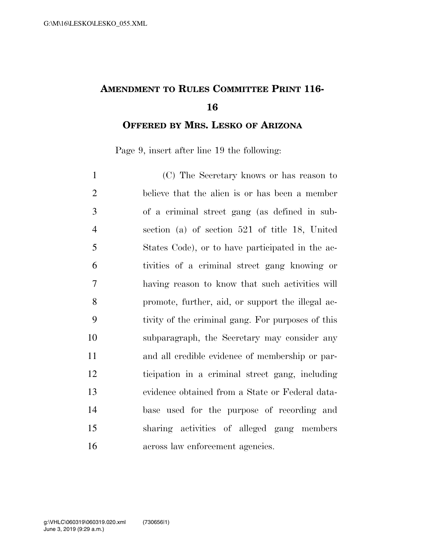## **AMENDMENT TO RULES COMMITTEE PRINT 116-**

**OFFERED BY MRS. LESKO OF ARIZONA**

Page 9, insert after line 19 the following:

| $\mathbf{1}$   | (C) The Secretary knows or has reason to          |
|----------------|---------------------------------------------------|
| $\overline{2}$ | believe that the alien is or has been a member    |
| 3              | of a criminal street gang (as defined in sub-     |
| $\overline{4}$ | section (a) of section $521$ of title 18, United  |
| 5              | States Code), or to have participated in the ac-  |
| 6              | tivities of a criminal street gang knowing or     |
| $\tau$         | having reason to know that such activities will   |
| 8              | promote, further, aid, or support the illegal ac- |
| 9              | tivity of the criminal gang. For purposes of this |
| 10             | subparagraph, the Secretary may consider any      |
| 11             | and all credible evidence of membership or par-   |
| 12             | ticipation in a criminal street gang, including   |
| 13             | evidence obtained from a State or Federal data-   |
| 14             | base used for the purpose of recording and        |
| 15             | sharing activities of alleged gang members        |
| 16             | across law enforcement agencies.                  |